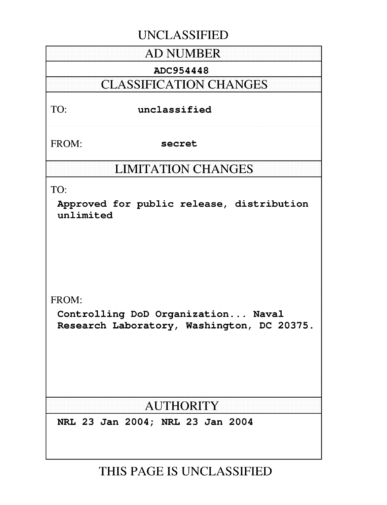# **UNCLASSIFIED**

# **AD NUMBER**

# ADC954448

# **CLASSIFICATION CHANGES**

# TO: unclassified

FROM: secret

# **LIMITATION CHANGES**

TO:

Approved for public release, distribution unlimited

FROM:

Controlling DoD Organization... Naval Research Laboratory, Washington, DC 20375.

# AUTHORITY

NRL 23 Jan 2004; NRL 23 Jan 2004

**THIS PAGE IS UNCLASSIFIED**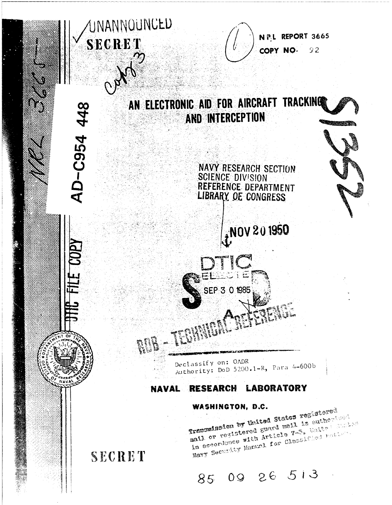

85 09 26 513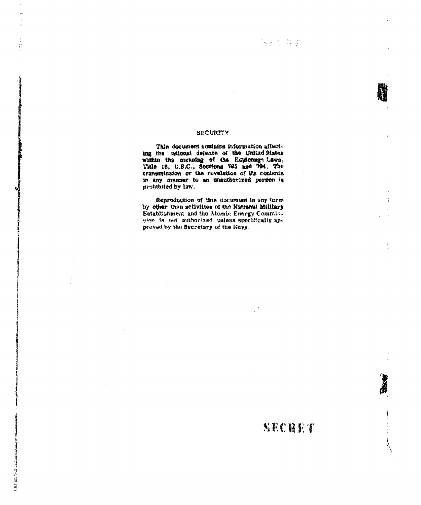SECHET

 $\frac{1}{2}$ 

j

 $\mathbf i$  $\mathcal{D}_{\mathcal{A}}$ 

### **SECURITY**

 $\ddot{\phantom{0}}$ l, J.

Ź

容易

I for account that

This document contains information affecting the ational defense of the United States within the meaning of the Espionage Laws. Title 18, U.S.C., Sections '793 and 794. The transmission or the revelation of its contents in any manner to an unauthorized person is prohibited by law.

Reproduction of this document in any form by other than activities of the National Military Establishment and the Atomic Energy Commiselon is not authorized unless specifically approved by the Secretary of the Navy.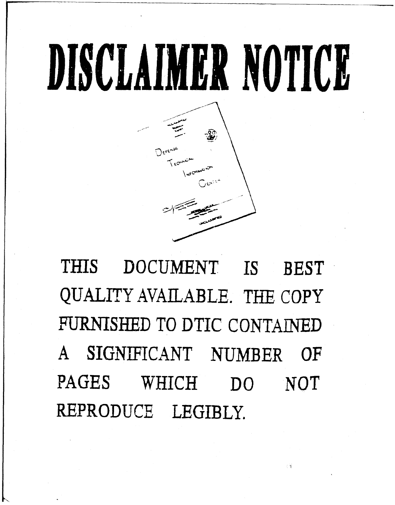# DISCLAIMER NOTICE



THIS DOCUMENT IS BEST QUALITY AVAILABLE. THE COPY FURNISHED TO DTIC CONTAINED A SIGNIFICANT NUMBER OF PAGES WHICH DO NOT REPRODUCE LEGIBLY.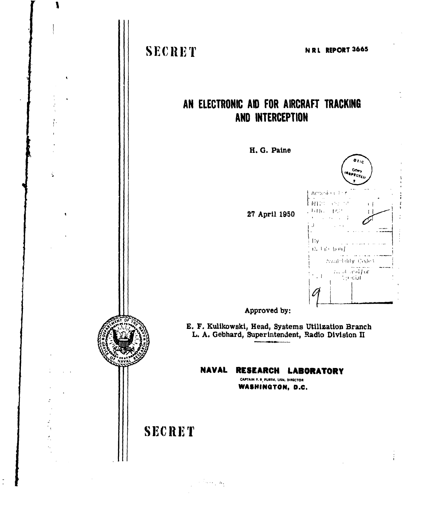

١

Š.

 $\mathcal{L}^{\text{max}}_{\text{max}}$  ,  $\mathcal{L}_{\text{max}}$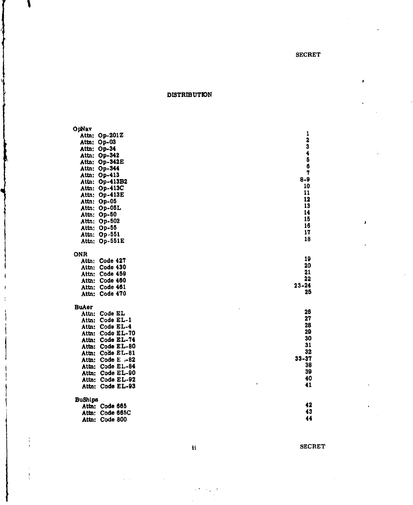b

ĭ

DISTRIBUTION

s,

Į

 $\overline{\phantom{a}}$  $\overline{\phantom{a}}$  $\rightarrow$ 

j

 $\frac{1}{2}$ 

| OpNav          |                   |                         |
|----------------|-------------------|-------------------------|
|                | Attn: Op-201Z     | $\mathbf{1}$            |
|                | Attn: Op-03       | $\overline{\mathbf{2}}$ |
|                | Attn: Op-34       | 3                       |
|                | Attn: Op-342      | $\ddot{\textbf{z}}$     |
|                | Attn: Op-342E     | 5                       |
|                | Attn: Op-344      | 6                       |
|                | Attn: Op-413      | 7                       |
|                | Attn: Op-413B2    | $8 - 9$                 |
|                | Attn: Op-413C     | 10                      |
|                | Attn: Op-413E     | 11                      |
|                | Attn: Op-05       | 12                      |
|                | Attn: Op-05L      | 13                      |
|                | Attn: Op-50       | 14                      |
|                | Attn: Op-502      | 15                      |
|                | Attn: Op-55       | 16                      |
|                | Attn: Op-551      | 17                      |
|                | Attn: Op-551E     | 18                      |
|                |                   |                         |
| <b>ONR</b>     |                   |                         |
|                | Attn: Code 427    | 19<br>20                |
|                | Attn: Code 430    |                         |
|                | Attn: Code 459    | 21<br>22                |
|                | Attn: Code 460    |                         |
|                | Attn: Code 461    | $23 - 24$<br>25         |
|                | Attn: Code 470    |                         |
| <b>BuAer</b>   |                   |                         |
|                | Attn: Code EL     | 26                      |
|                | Attn: Code EL-1   | 27                      |
|                | Attn: Code EL-4   | 28                      |
|                | Attn: Code EL-70  | 29                      |
|                | Attn: Code EL-74  | 30                      |
|                | Attn: Code EL-80  | 31                      |
|                | Attn: Code EL-81  | 32                      |
|                | Attn: Code E .-82 | $33 - 37$               |
|                | Attn: Code EL-84  | 38                      |
|                | Attn: Code EL-90  | 39                      |
|                | Attn: Code EL-92  | 40                      |
|                | Attn: Code EL-93  | ł<br>41                 |
|                |                   |                         |
| <b>BuShips</b> |                   |                         |
|                | Attn: Code 665    | 42                      |
|                | Attn: Code 665C   | 43                      |
|                | Attn: Code 800    | 44                      |

it SECRET

 $\sim \mu$  $\mathcal{L}$ 

 $\mathcal{L}$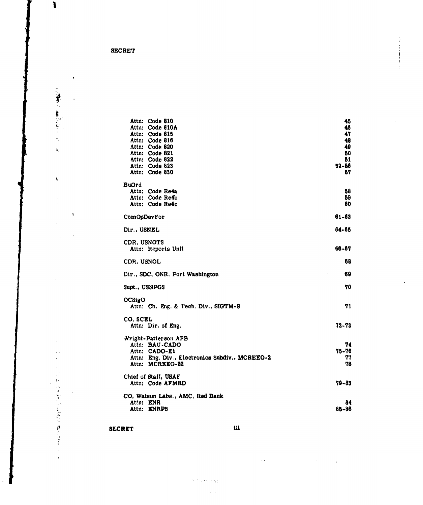$\blacksquare$ 

 $\sim$ 

 $\hat{\mathbf{y}}_i$ 

 $\bar{\mathbf{A}}$ 

 $\bar{\alpha}$ 

 $\hat{\boldsymbol{\beta}}$ 

 $\bar{z}$ 

 $\ddot{\phantom{a}}$ 

l,

これ ひとをへいたので 待ちなで

l,  $\ddot{\phantom{0}}$   $\ddot{\phantom{a}}$ 

 $\bar{\mathbf{v}}$ 

 $\bar{\mathbf{A}}$ 

 $\cdot$ 

| 45        |
|-----------|
| 46        |
| 47        |
| 48        |
| 49        |
| 50        |
| 51        |
| 52-56     |
| 57        |
|           |
| 58        |
| 59        |
| 60        |
| $61 - 63$ |
| 64-65     |
|           |
| 66-67     |
| 68        |
| 69        |
| 70        |
|           |
| 71        |
|           |
| 72-73     |
|           |
| 74        |
| 75-76     |
| 77        |
| 78        |
|           |
| 79-83     |
|           |
| 84        |
| 85-86     |
|           |

 $\bar{z}$ 

## SECRET iii

 $\gamma$  , and  $\eta_{\rm R}$ 

 $\alpha$  ,  $\beta$ 

 $\ddot{\phantom{a}}$ 

 $\bar{\tau}$  .

 $\bar{\alpha}$ 

i.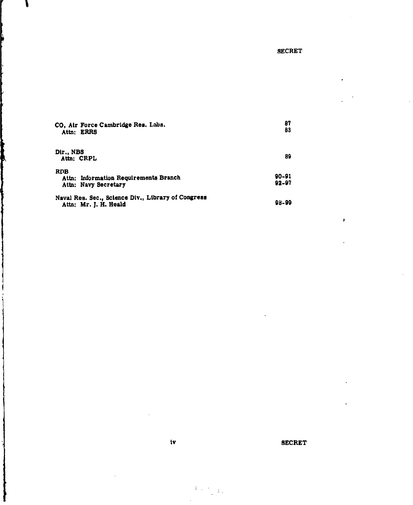| CO, Air Force Cambridge Res. Labs.<br>Attn: ERRS                            | 87<br>83           |
|-----------------------------------------------------------------------------|--------------------|
| Dir., NBS<br>Attn: CRPL                                                     | 89                 |
| RDB<br>Attn: Information Requirements Branch<br>Attn: Navy Secretary        | 90-91<br>$92 - 97$ |
| Naval Res. Sec., Science Div., Library of Congress<br>Attn: Mr. J. H. Heald | 98-99              |

### iv SECRET

 $\label{eq:3.1} \Psi_{\alpha\beta}(\chi) = \frac{1}{\log\frac{1}{\alpha}} \, .$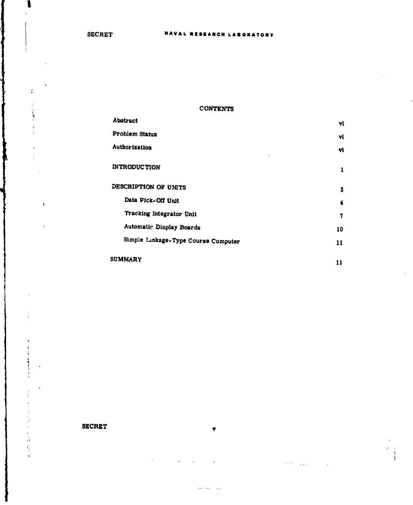$\frac{1}{3} \tau$ 

 $\ddot{\phantom{a}}$ 

 $\overline{\mathbf{I}}$ 

 $\mathbf{r}$ ċ í

 $\frac{1}{2}$ 

 $\frac{1}{2}$ 

医鼻骨膜炎

 $\mathbf{\mathbf{t}}$ 

### CONTENTS

| <b>Abstract</b>                     | vi. |
|-------------------------------------|-----|
| Problem Status                      | vl  |
| Authorization<br>٨                  | vl  |
| <b>INTRODUCTION</b>                 | 1   |
| DESCRIPTION OF UNITS                | 3   |
| Data Pick-Off Unit                  | 4   |
| Tracking Integrator Unit            | 7   |
| Automatic Display Boards            | 10  |
| Simple Linkage-Type Course Computer | 11  |
| SUMMARY                             | 11  |

### SECRET

 $\lambda \in \mathbb{R}^{d \times d}$  ,  $\lambda \in \mathbb{R}^{d \times d}$ 

 $\frac{1}{4}$ 

v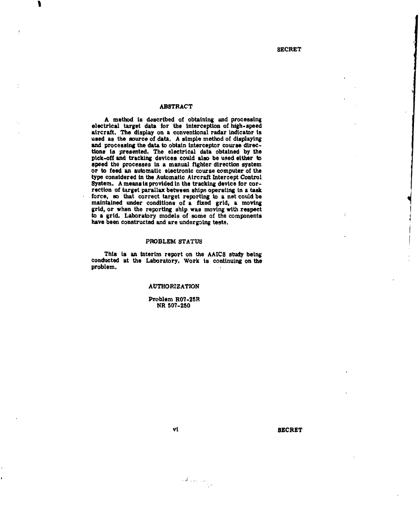### ABSTRACT

A method is dascrtbed of obtaining and processing electrical target data for the interception of high-speed aircraft. The display on a conventional radar indicator is used as the source of data. A simple method of displaying and processing the data to obtain interceptor course directions is presented. The electrical data obtained by the pick-off and tracking devices could also be used either to speed the processes in a manual fighter direction system or to feed an automatic electronic course computer of the type considered in the Automatic Aircraft Intercept Control rection of target parallax between ships operating in a task force, so that correct target reporting to a net could be maintained under conditions of a fixed grid, a moving grid, or when the reporting ship was moving with respect to a grid. Laboratory models of some of the components have been constructed and are undergoing tests.

### PROBLEM STATUS

This **it** an interim report on the AAICS study being conducted at the Laboratory. Work is continuing on the problem.

### AUTHORIZATION

Problem R07-25R NR 507-250

### vi SECRET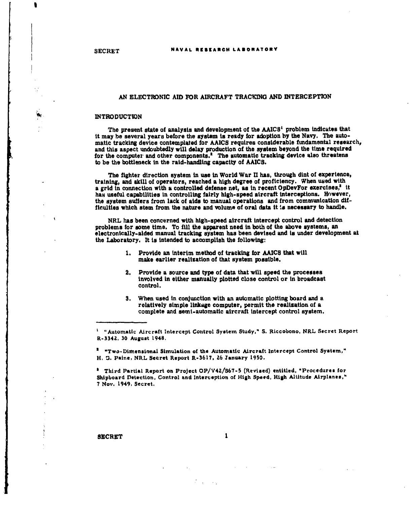### AN ELECTRONIC AID FOR AIRCRAFT TRACING AND INTERCEPTION

### **INTRODUCTION**

The present state of analysis and development of the  $AAICS<sup>t</sup>$  problem indicates that it may be several years before the system **ti** ready for adoption by the Navy. The automatic tracking device contemplated for AAICS requires considerable fundamental research, and this aspect undoubtedly will delay production of the system beyond the time required for the compute: and other components.' The automatic tracking device also threatens to be the bottleneck in the raid-handling capacity of AAICS.

The fighter direction system in use in World War II has, through dint of experience, training, and skill of operators, reached a high degree of proficiency. When used with a grid in connection with a controlled defense net, as in recent OpDevFor exercises,<sup>3</sup> it has useful capabilities in controlling fairly high-speed aircraft interceptions. However, the system suffers from lack of aids to manual operations and from communication dif- "ficulties which stem from the nature and volume of oral data it **,a** necessary to handle.

NRL has been concerned with high-speed aircraft intercept control and detection problems for some time. To fill the apparent need in both of the above systems, an electronically-aided manual tracking system has been devised and is under development at the Laboratory. It is intended to accomplish the following:

- 1. Provide an interim method of tracking for AAICS that will make earlier realization of that system possible.
- 2. Provide a source and type of data that will speed the processes involved In either manually plotted close control or in broadcast control.
- 3. When used in conjunction with an automatic plotting board and a relatively simple linkage computer, permit the realization of a complete and semi-automatic aircraft intercept control system.

**a** "Two-Dimensional Simulation of the Automatic Aircraft Intercept Control System," H. **U.** Paine, NRL Secret Report R-3617, **26** January 1950.

a Third Partial Report on Project OP/V42/567-5 (Revised) entitled, "Procedures for Shipboard Detection, Control and Interception of High Speed, High Altitude Airplanes," 7 Nov. 1949, Secret.

### **SECRET**

 $\mathbf{1}$ 

<sup>&</sup>quot;Automatic Aircraft Intercept Control System Study," S. Riccobono, NRL Secret Report R-334Z, 30 August 1948.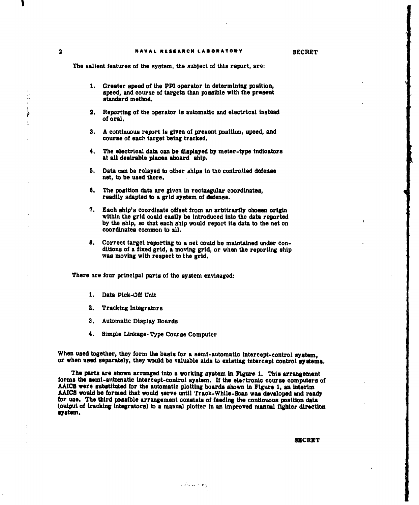The salient features of the system, the subject of this report, are:

- 1. Greater speed of the PPI operator in determining position, speed, and course of targets than possible with the present standard method.
- 2. Reporting of the operator is automatic and electrical instead of oral.
- **3.** A continuous report is given of present position, speed, and course of each target being tracked.
- **4.** The electrical data can be displayed by meter-type indicators at all desirable places aboard ship.
- **5.** Data can be relayed to other ships in the controlled defense net, to be used there.
- 6. The position data are given in rectangular coordinates, readily adapted to a grid system of defense.
- 7. Each ship's coordinate offset from an arbitrarily chosen origin within the grid could easily be introduced into the data reported by the ship, so that each ship would report its data to the net on coordinates common to all.
- 8. Correct target reporting to a net could be maintained under conditions of a fixed grid, a moving grid, or when the reporting ship was moving with respect to the grid.

There are four principal parts of the system envisaged:

- **1.** Data Pick-Off Unit
- 2. Tracking Integrators
- 3. Automatic Display Boards
- 4. Simple Linkage-Type Course Computer

When used together, they form the basis for a semi-automatic intercept-control system, or when used separately, they would be valuable aids to existing intercept control systems.

The parts are shown arranged into a working system in Figure 1. This arrangement forms the semi-automatic intercept-control system. If the elertronlc course computers of AAICB were substituted for the automatic plotting boards shown in Figure 1, an interim AAICS would be formed that would serve until Track-While-Scan was developed and ready for use. The third possible arrangement consists of feeding the continuous position data (output of tracking integrators) to a manual plotter in an improved manual fighter direction system.

 $\{d\}$  and  $\{b\}$ 

### **SECRET**

 $\bar{\xi}$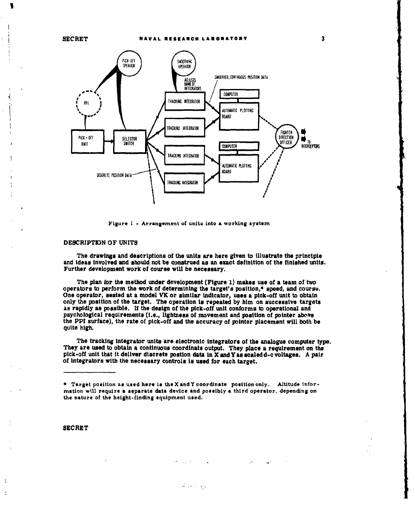

Figure 1 **-** Arrangement of units into a working system

### DESCRIPTION OF UNITS

The drawings and descriptions of the units are here given to illustrate the principle and ideas involved and should not be construed as an exact definition of the finished units. Further development work of course will be necessary.

The plan ior the method under development (Figure 1) makes use of a team of two operators to perform the work of determining the target's position,\* speed, and coursu. One operator, seated at a model VK or similar indicator, uses a pick-off unit to obtain only the position of the target. The operation is repeated by him on successive targets as rapidly as possible. If the design of the pick-off unit conforms to operational and psychological requirements (i.e., lightness of movement and position of pointer above the PPI surface), the rate of pick-off and the accuracy of pointer placement will both be quite high.

The tracking integrator units are electronic integrators of the analogue computer type. They are used to obtain a continuous coordinate output. They place a requirement on the pick-off unit that it deliver discrete postion data in X and Y as scaledd-c voltages. A pair of integrators with the necessary controls is used for each target.

\* Target position as used here is the X and Y coordinate position only. Altitude information will require **a** separate data device and possibly **a** third operator, depending on the nature of the height-finding equipment used.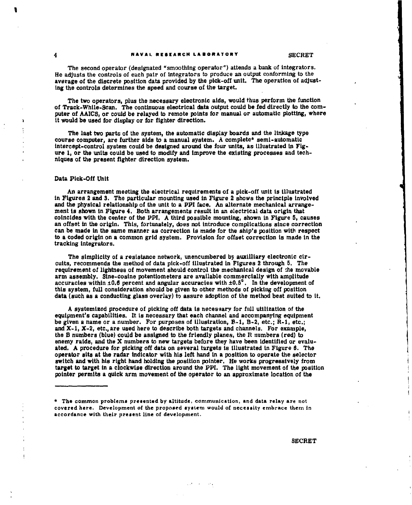The second operator (designated "smoothing operator") attends a bank of integrators. He adjusts the controls of each pair of integrators to produce an output conforming to the average of the discrete position data provided by the pick-off unit. The operation of adjusting the controls determines the speed and course of the target.

The two operators, plus the necessary electronic aids, would thus perform the function of Track-While-Scan. The continuous electrical data output could be fed directly to the computer of AAICS, or could be relayed to remote points for manual or automatic plotting, where it would be used for display or for fighter direction.

The last two parts of the system, the automatic display boards and the linkage type course computer, are further aids to a manual system. A complete\* semi-automatic intercept-control system could be designed around the four units, as illustrated in Figure 1, or the units could be used to modify and improve the existing processes and techniques of the present fighter direction system.

### Data Pick-Off Unit

An arrangement meeting the electrical requirements of a pick-off unit is illustrated in Figures 2 and 3. The particular mounting used in Figure 2 shows the principle involved and the physical relationship of the unit to a PPI face. An alternate mechanical arrangement is shown in Figure 4. Both arrangements result in an electrical data origin that coincides with the center of the PPI. A third possible mounting, shown in Figure 5, causes an offset in the origin. This, fortunately, does not introduce complications since correction can be made in the same manner as correction is made for the ship's position with respect to a coded origin on a common grid system. Provision for offset correction is made in the tracking integrators.

The simplicity of a resistance network, unencumbered by auxilliary electronic circuits, recommends the method of data pick-off illustrated in Figures 2 through 5. The requirement of lightness of movement should control the mechanical design of :he movable arm assembly. Sine-cosine potentiometers are available commercially with amplitude accuracies within  $\pm 0.6$  percent and angular accuracies with  $\pm 0.5^\circ$ . In the development of this system, full consideration should be given to other methods of picking off position data (such as a conducting glass overlay) to assure adoption of the method best suited to it.

A systemized procedure of picking off data is necessary for full utilization of the equipment's capabilities. It is necessary that each channel and accompanying equipment be given a name or a number. For purposes of illustration, B-1, B-2, etc.; R-l, etc.; and  $X-1$ ,  $X-2$ , etc., are used here to describe both targets and channels. For example, the B numbers (blue) could be assigned to the friendly planes, the R numbers (red) to enemy raids, and the X numbers to new targets before they have been identified or evaluated. A procedure for picking off data on several targets is illustrated in Figure **S.** The operator sits at the radar indicator with his left hand in a position to operate the selector switch and with his right hand holding the position pointer. He works progressively from target to target in a clockwise direction around the PPI. The light movement of the position pointer permits a quick arm movement of the operator to an approximate location of the

<sup>\*</sup> The common problems presented by altitude, communication, and data relay are not covered here. Development of the proposed system would of necessity embrace them in accordance with their present line of development.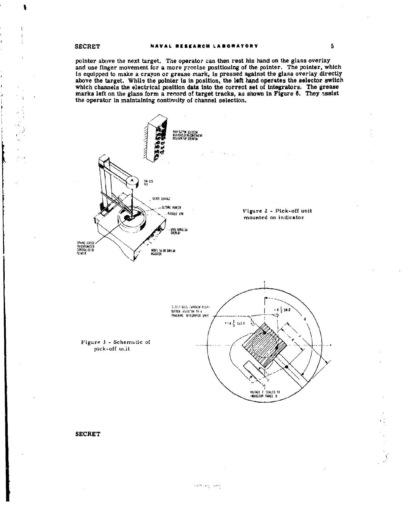pointer above the next target. The operator can then rest his hand on the glass overlay pointer above the hext target. The operator can then you and use finds over the heat and use finger movement for a more precise positioning of the pointer. The pointer, which is equipped to make a crayon or grease mark, is marks left on the glass form a record of target tracks, as shown in Figure 6. They assist the operator in maintaining continuity of channel selection.



### **SECRET**

 $\mathbf{r}$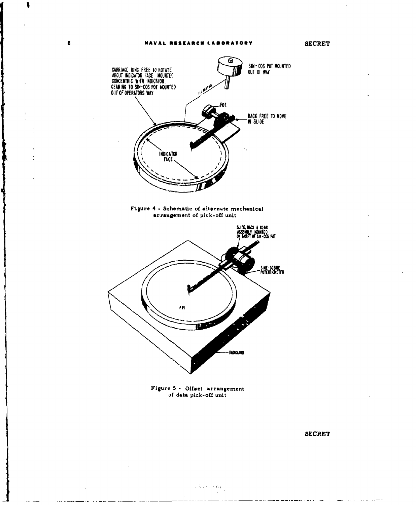1

 $\ddot{\phantom{a}}$ 



Figure 5 - Offset arrangement of data pick-off unit

 $\sim$   $h$  ,  $h$  ,  $\propto$   $\sigma_{\rm H}$ 

 $\frac{1}{2} \frac{1}{2} \frac{1}{2} \frac{1}{2} \frac{1}{2} \frac{1}{2} \frac{1}{2} \frac{1}{2} \frac{1}{2} \frac{1}{2} \frac{1}{2} \frac{1}{2} \frac{1}{2} \frac{1}{2} \frac{1}{2} \frac{1}{2} \frac{1}{2} \frac{1}{2} \frac{1}{2} \frac{1}{2} \frac{1}{2} \frac{1}{2} \frac{1}{2} \frac{1}{2} \frac{1}{2} \frac{1}{2} \frac{1}{2} \frac{1}{2} \frac{1}{2} \frac{1}{2} \frac{1}{2} \frac{$ 

 $\mathcal{L}$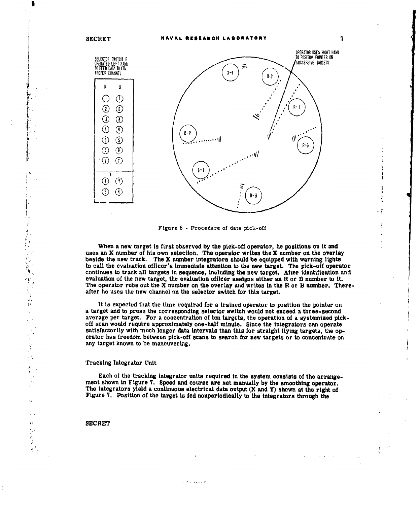

Figure 6 - Procedure of data pick-off

When a new target is first observed by the pick-off operator, he positions on it and uses an X number of his own selection. The operator writes the X number on the overlay beside the new track. The X number integrators should be equipped with warning lights to call the evaluation officer's immediate attention to the new target. The pick-off operator continues to track all targets in sequence, including the new target. After identification and evaluation of the new target, the evaluation officer assigns either an R or B number to it. The operator rubs out the X number on the overlay and writes in the R or **13** number. Thereafter he uses the new channel on the selector switch for this target.

It is expected that the time required for a trained operator to position the pointer on a target and to press the corresponding selector switch would not exceed a three-second a target and to press the corresponding selector switch would not exceed a three-second<br>average per target. For a concentration of ten targets, the operation of a systemized pick-<br>of any mould negate compenies to be a stat off scan would require approximately one-half minute. Since the integrators can operate satisfactorily with much longer data intervals than this for straight flying targets, the operator has freedom between pick-off scans to search for new targets or to concentrate on any target known to be maneuvering.

### Tracking Integrator Unit

Each of the tracking integrator units required In the system consists of the arrangement shown in Figure 7. Speed and course are set manually by the smoothing operator. The integrators yield a continuous electrical data output (X and Y) shown at the right of Figure 7. Position of the target is fed nonperiodically to the Integrators through the

والاستفقاء كالاس

### **SECRET**

Ť  $\frac{d}{r}$  .

经工作等 使某人

 $\sqrt{2}$  $\bar{\bar{\bar{z}}}$ ίþ,

Å

۱ę\*<br>م  $\mathcal{C}$  :

 $\frac{1}{2}$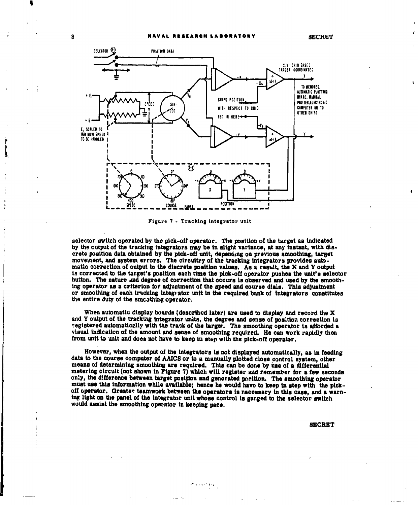

Figure 7 - Tracking integrator unit

selector switch operated by the pick-off operator. The position of the target as indicated by the output of the tracking integrators may be in slight variance, at any instant, with discrete position data obtained by the pick-off unit, depending on previous smoothing, target movement, and system errors. The circuitry of the tracking integrators provides automatic correction of output to the discrete position values. As a result, the X and Y output is corrected to the target's position each time the pick-off operator pushes the unit's selector button. The nature and degree of correction that occurs is observed and used by the smoothing operator as a criterion for adjustment of the speed and course dials. This adjustment or smoothing of each tracking integrator unit in the required bank of integrators constitutes the entire duty of the smoothing operator.

When automatic display boards (described later) are used to display and record the X and Y output of the tracking integrator units, the degree and sense of position correction is registered automatically with the track of the target. The smoothing operator is afforded a visual indication of the amount and sense of smoothing required. He can work rapidly then from unit to unit and does not have to keep in step with the pick-off operator.

However, when the output of the integrators is not displayed automatically, as in feeding data to the course computer of AAICS or to a manually plotted close control system, other means of determining smoothing are required. This can be done by use of a differential metering circuit (not shown in Figure 7) which will register and remember for a few seconds only, the difference between target position and generated position. The smoothing operator must use this information while available; hence he would have to keep in step with the pickoff operator. Greater teamwork between the operators is necessary in this case, and a warning light on the panel of the integrator unit whose control is ganged to the selector switch would assist the smoothing operator in keeping pace.

 $\mathcal{O}(\sqrt{m_{\pi}^2/m_{\pi}^2})$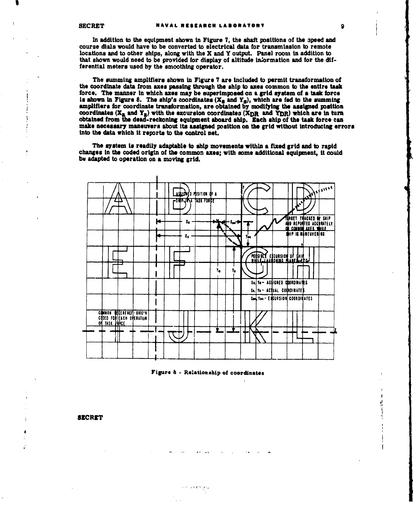In addition to the equipment shown in Figure 7, the shaft positions of the speed and course dials would have to be converted to electrical data for transmission to remote locations and to other ships, along with the X and Y output. Panel room in addition to that shown would need to be provided for display of altitude information and for the differential meters used by the smoothing operator.

The summing amplifiers shown in Figure 7 are included to permit transformation of the coordinate data from axes passing through the ship to axes common to the entire task force. The manner in which axes may be superimposed on a grid system of a task force is shown in Figure 8. The ship's coordinates  $(X_S \text{ and } Y_S)$ , which are fed to the summing amplifiers for coordinate transformation, are obtained by modifying the assigned position coordinates ( $X_a$  and  $Y_a$ ) with the excursion coordinates ( $X_{DR}$  and  $Y_{DR}$ ) which are in turn obtained from the dead-reckoning equipment aboard ship. Each ship of the task force can make necessary maneuvers about its assigned position on the grid without introducing errors into the data which it reports to the control net.

The system is readily adaptable to ship movements within a fixed grid and to rapid changes in the coded origin of the common axes; with some additional equipment, it could be adapted to operation on a moving grid.





 $\sim 10$ 

**SECRET** 

Ó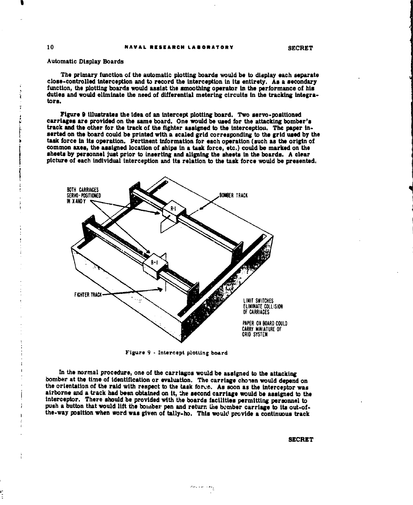### Automatic Display Boards

The primary function of the automatic plotting boards would be to display each separate close-controlled interception and to record the interception in its entirety. As a secondary function, the plotting boards would assist the smoothing operator in the performance of his duties and would eliminate the need of differential metering circuits in the tracking integra**tors.**

Figure 9 illustrates the Idea of an intercept plotting board. Two servo-positioned track and the other for the track of the fighter assigned to the interception. The paper inserted on the board could be printed with a scaled grid corresponding to the grid used by the task force in its operation. Pertinent information for each operation (such as the origin of common axes, the assigned location of ships in a tusk force, etc.) could be marked on the sheets by personnel just prior to inserting and aligning the sheets in the boards. A clear picture of each individual interception and its relation to the task force would be presented.



Figure 9 - Intercept plotting board

In the normal procedure, one of the carriages would be assigned to the attacking bomber at the time of identification or evaluation. The carriage chopen would depend on the orientation of the raid with respect to the task force. As soon as the interceptor was airborne and a track had been obtained on it, the second carriage would be assigned to the interceptor. There should be provided with the boards facilities permitting personnel to push a button that would lift the boimber pen and return Lhe bomber carriage to its out-ofthe-way position when word was given of tally-ho. This would provide a continuous track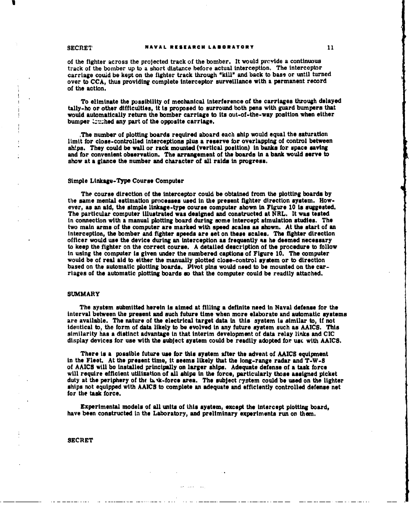of the fighter across the projected track of the bomber. It would provide a continuous track of the bomber up to a short distance before actual interception. The interceptor carriage could be kept on the fighter track through **"kiUl** and back to bass or until turned over to CCA, thus providing complete interceptor surveillance with a permanent record of the action.

To eliminate the possibility of mechanical interference of the carriages through delayed tally-ho or other difficulties, it **ts** proposed to surround both pens with guard bumpers that would automatically return the bomber carriage to its out-of-the-way position when either bumper trucked any part of the opposite carriage.

,The number of plotting boards required aboard each ship would equal the saturation limit for close-controlled Interceptions plus a reserve for overlapping of control between ships. They could be wall or rack mounted (vertical position) in banks for space saving and for convenient observation. The arrangement of the boards in a bank would serve to show at a glance the number and character of all raids in progress.

### Simple Linkage-Type Course Computer

The course direction of the interceptor could be obtained from the plotting boards by the same mental estimation processes used in the present fighter direction system. However, as an aid, the simple linkage-type course computer shown in Figure 10 is suggested. The particular computer illustrated was designed and constructed at NRL. It was tested in connection with a manual plotting board during some Intercept simulation studies. The interception, the bomber and fighter speeds are set on these scales. The fighter direction officer would use the device during an interception **as** frequently as he deemed necessary to keep the fighter on the correct course. A detailed description of the procedure to follow in using the computer is given under the numbered captions of Figure 10. The computer would be of real aid to either the manually plotted close-control system or to direction based on the automatic plotting boards. Pivot pins would need to be mounted on the carriages of the automatic plotting boards so that the computer could be readily attached.

### SUMMARY

The system submitted herein is aimed at filling a definite need in Naval defense for the interval between the present and such future time when more elaborate and automatic systems are available. The nature of the electrical target data in this system is similar to, if not identical to, the form of data likely to be evolved in any future system such as AAICS. This similarity has a distinct advantage in that interim development of data relay links and CIC display devices for use with the subject system could be readily adopted for use with AAICS.

There **is** a possible future use for this system after the advent of AAICS equipment in the Fleet. At the present time, it seems likely that the long-range radar and T-W-8 of AAICS will be installed principally on larger **ships.** Adequate defense of a task force will require efficient utilization of all ships in the force, particularly those assigned picket duty at the periphery of the take-force area. The subject rystem could be used on the lighter ships not equipped with AAICS to complete an adequate and efficiently controlled defense net for the task force.

Experimental models of all units of this system, except the intercept plotting board, have been constructed in the Laboratory, and preliminary experiments run on them.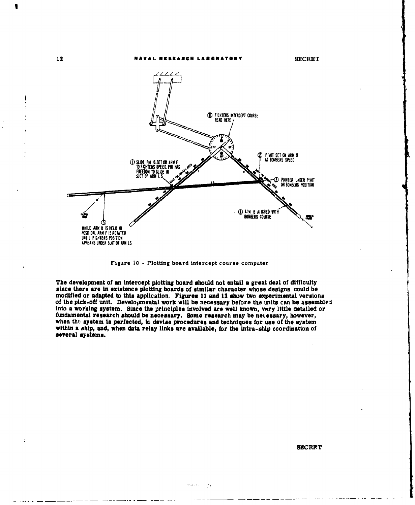



rigure 10 - Plotting board intercept course computer

The development of an intercept plotting board should not entail a great deal of difficulty since there are in existence plotting boards of similar character whose designs could be modified or adapted to this application, Figures 11 and 12 show two experimental versions of the pick-off unit. Developmental work will be necessary before the units can be assembled into a working system. Since the principles involved are well known, vary little detailed or fundamental research should be necessary. Some research may be necessary, however, when the system is perfected, to devise procedures and techniques for use of the system within a ship, and, when data relay links are avail several systems.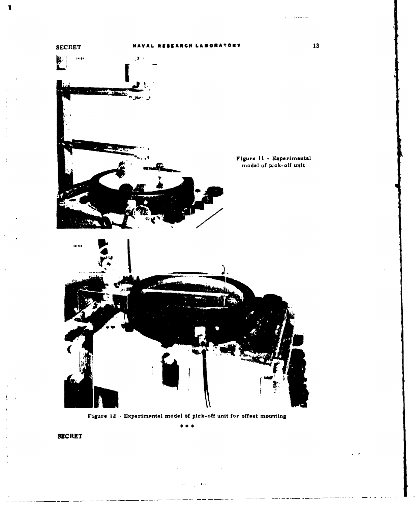

Figure 12 - Experimental model of pick-off unit for offset mounting

. . .

 $\omega_{\rm{max}}$  , and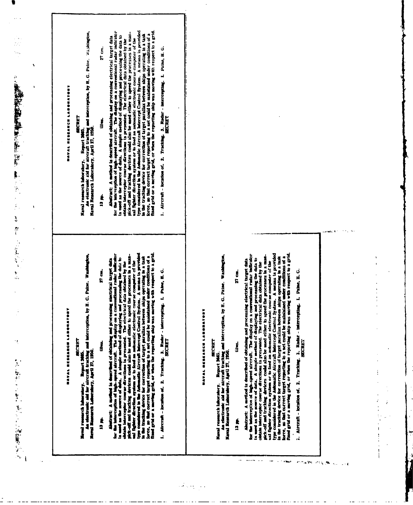| <b>MANAL RESEARCH LANGERY</b><br>Haval research laboratory. Report 3665.<br>Waval research laboratory. Report 3665. |
|---------------------------------------------------------------------------------------------------------------------|
| NAVAL RESEARCH LABORATO<br><b>BECRET</b><br>Need research laboratory. Report 2005.                                  |
|                                                                                                                     |

An electronic aid for sircraft tracking and interception, by H. C. Palne. Washington<br>Hereal Research Laborahory, April 37, 1950.

 $\frac{1}{2}$ 

Absorber. A noticed is described of obtaining and processing electrical trips that for the independent of the second alternal. The display on a conventional radiar battern is the more of odd.. A simple method of displayin

L. Alecrafic homina of, 2. Tracting, 3. Badar - Intercepting, 1. Palee, H. G.

An electronic zid for alreraft tracking and interception, by H. G. Paine. Washington,<br>Maral Renearch Laborahory, April 27, 1950.

 $\frac{1}{2}$ 13 m

a<br>E

the.

 $27 cm$ .

Abstract, A method is described of obtaining and processing electrical target data for the interprise of data. A simple raction of display on a conventional radiat indicator is used at the numeror of data. A simple ractio

1. Aircraft - location of. 2. Tracking, 3. Radar - intercepting. 1. Paine, H. G.

# NAVAL RESEARCH LABORATORY

 $\alpha$  ,  $\alpha$  ,  $\alpha$ 

**BECRET** 

Karal research laborahory. Report 3655.<br>An electronic ald for aircraft tracking and interception, by H. G. Paine. Washington,<br>Naval Research Laborahory, April 27, 1950.

lir.

 $77$  dir.

 $\frac{1}{2}$ 

alicencia di

 $\sim$   $\sim$ 

 $\sim 1000$ 

 $\delta\phi_{\rm A}$  in

 $\hat{\mathbf{r}}_{\star}$  .  $\sim$  1.6

 $\sigma$  or  $\gtrsim 90$ 

And<br>the fine is denoted it described of obtaining and processing electrical target data<br>for the interception of high-speed aircraft. The display on a conventional radar indicator<br>is used as the normor of data. A simple me

i. Aircraft - location of. 2. Tracking. 3. Radar - intercepting. I. Paine, H.G.

والتهامي

 $\frac{1}{1}$ 

 $\begin{array}{c} \bullet & \bullet \\ \bullet & \bullet \\ \bullet & \bullet \end{array}$ 

 $\cdot$  $\ddot{.}$ 

医无关节 电电子电子 医半圆

 $\frac{1}{2}$ 

 $\dot{\vec{v}}$